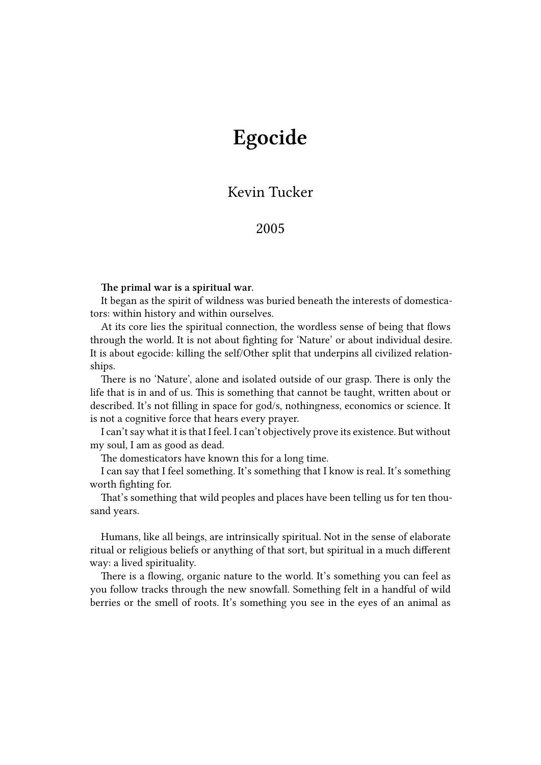## **Egocide**

## Kevin Tucker

## 2005

## **The primal war is a spiritual war.**

It began as the spirit of wildness was buried beneath the interests of domesticators: within history and within ourselves.

At its core lies the spiritual connection, the wordless sense of being that flows through the world. It is not about fighting for 'Nature' or about individual desire. It is about egocide: killing the self/Other split that underpins all civilized relationships.

There is no 'Nature', alone and isolated outside of our grasp. There is only the life that is in and of us. This is something that cannot be taught, written about or described. It's not filling in space for god/s, nothingness, economics or science. It is not a cognitive force that hears every prayer.

I can't say what it is that I feel. I can't objectively prove its existence. But without my soul, I am as good as dead.

The domesticators have known this for a long time.

I can say that I feel something. It's something that I know is real. It's something worth fighting for.

That's something that wild peoples and places have been telling us for ten thousand years.

Humans, like all beings, are intrinsically spiritual. Not in the sense of elaborate ritual or religious beliefs or anything of that sort, but spiritual in a much different way: a lived spirituality.

There is a flowing, organic nature to the world. It's something you can feel as you follow tracks through the new snowfall. Something felt in a handful of wild berries or the smell of roots. It's something you see in the eyes of an animal as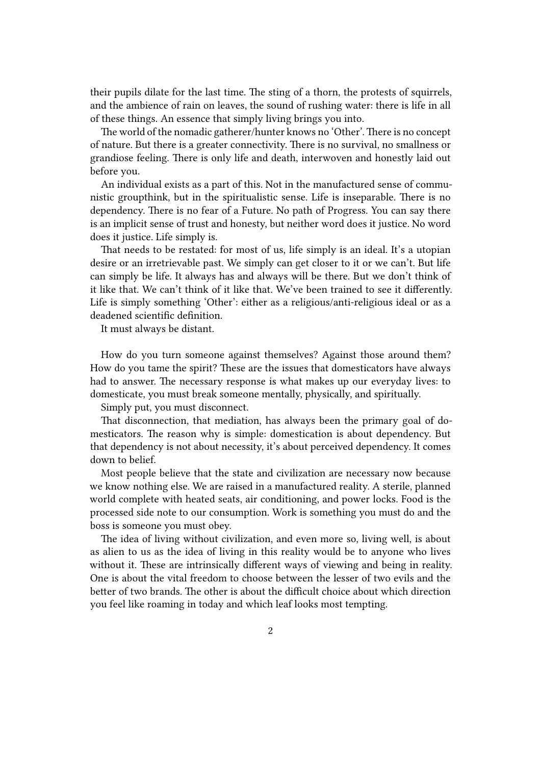their pupils dilate for the last time. The sting of a thorn, the protests of squirrels, and the ambience of rain on leaves, the sound of rushing water: there is life in all of these things. An essence that simply living brings you into.

The world of the nomadic gatherer/hunter knows no 'Other'. There is no concept of nature. But there is a greater connectivity. There is no survival, no smallness or grandiose feeling. There is only life and death, interwoven and honestly laid out before you.

An individual exists as a part of this. Not in the manufactured sense of communistic groupthink, but in the spiritualistic sense. Life is inseparable. There is no dependency. There is no fear of a Future. No path of Progress. You can say there is an implicit sense of trust and honesty, but neither word does it justice. No word does it justice. Life simply is.

That needs to be restated: for most of us, life simply is an ideal. It's a utopian desire or an irretrievable past. We simply can get closer to it or we can't. But life can simply be life. It always has and always will be there. But we don't think of it like that. We can't think of it like that. We've been trained to see it differently. Life is simply something 'Other': either as a religious/anti-religious ideal or as a deadened scientific definition.

It must always be distant.

How do you turn someone against themselves? Against those around them? How do you tame the spirit? These are the issues that domesticators have always had to answer. The necessary response is what makes up our everyday lives: to domesticate, you must break someone mentally, physically, and spiritually.

Simply put, you must disconnect.

That disconnection, that mediation, has always been the primary goal of domesticators. The reason why is simple: domestication is about dependency. But that dependency is not about necessity, it's about perceived dependency. It comes down to belief.

Most people believe that the state and civilization are necessary now because we know nothing else. We are raised in a manufactured reality. A sterile, planned world complete with heated seats, air conditioning, and power locks. Food is the processed side note to our consumption. Work is something you must do and the boss is someone you must obey.

The idea of living without civilization, and even more so, living well, is about as alien to us as the idea of living in this reality would be to anyone who lives without it. These are intrinsically different ways of viewing and being in reality. One is about the vital freedom to choose between the lesser of two evils and the better of two brands. The other is about the difficult choice about which direction you feel like roaming in today and which leaf looks most tempting.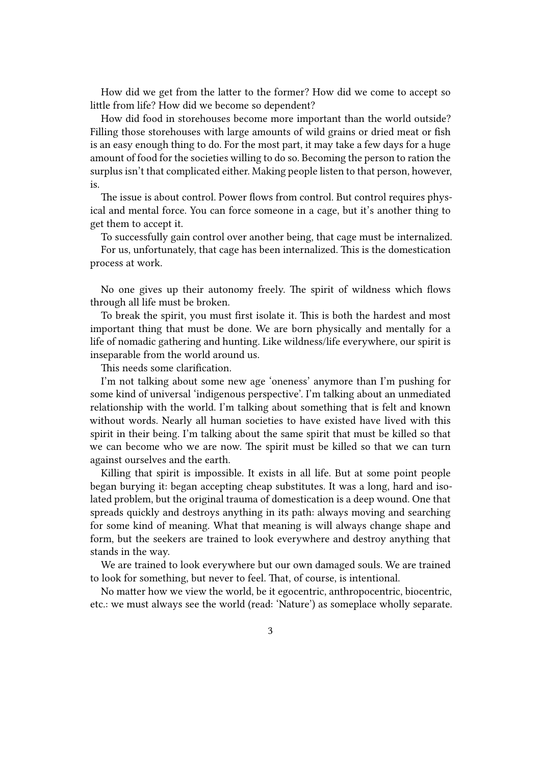How did we get from the latter to the former? How did we come to accept so little from life? How did we become so dependent?

How did food in storehouses become more important than the world outside? Filling those storehouses with large amounts of wild grains or dried meat or fish is an easy enough thing to do. For the most part, it may take a few days for a huge amount of food for the societies willing to do so. Becoming the person to ration the surplus isn't that complicated either. Making people listen to that person, however, is.

The issue is about control. Power flows from control. But control requires physical and mental force. You can force someone in a cage, but it's another thing to get them to accept it.

To successfully gain control over another being, that cage must be internalized. For us, unfortunately, that cage has been internalized. This is the domestication process at work.

No one gives up their autonomy freely. The spirit of wildness which flows through all life must be broken.

To break the spirit, you must first isolate it. This is both the hardest and most important thing that must be done. We are born physically and mentally for a life of nomadic gathering and hunting. Like wildness/life everywhere, our spirit is inseparable from the world around us.

This needs some clarification.

I'm not talking about some new age 'oneness' anymore than I'm pushing for some kind of universal 'indigenous perspective'. I'm talking about an unmediated relationship with the world. I'm talking about something that is felt and known without words. Nearly all human societies to have existed have lived with this spirit in their being. I'm talking about the same spirit that must be killed so that we can become who we are now. The spirit must be killed so that we can turn against ourselves and the earth.

Killing that spirit is impossible. It exists in all life. But at some point people began burying it: began accepting cheap substitutes. It was a long, hard and isolated problem, but the original trauma of domestication is a deep wound. One that spreads quickly and destroys anything in its path: always moving and searching for some kind of meaning. What that meaning is will always change shape and form, but the seekers are trained to look everywhere and destroy anything that stands in the way.

We are trained to look everywhere but our own damaged souls. We are trained to look for something, but never to feel. That, of course, is intentional.

No matter how we view the world, be it egocentric, anthropocentric, biocentric, etc.: we must always see the world (read: 'Nature') as someplace wholly separate.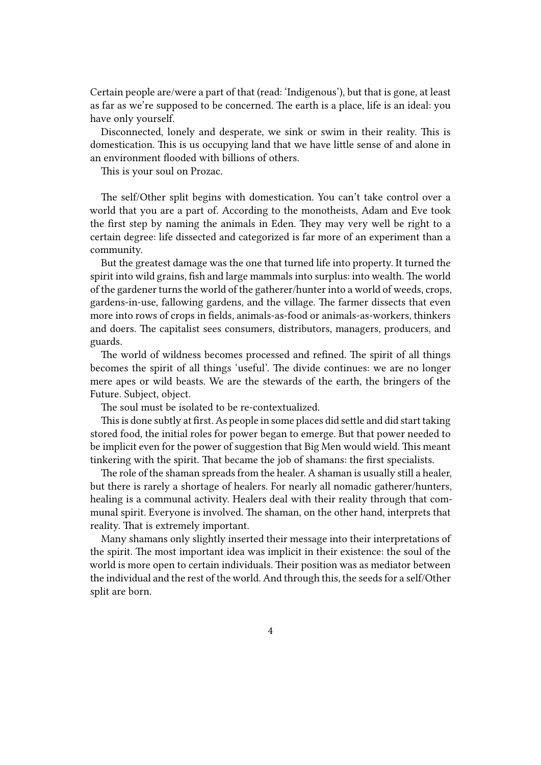Certain people are/were a part of that (read: 'Indigenous'), but that is gone, at least as far as we're supposed to be concerned. The earth is a place, life is an ideal: you have only yourself.

Disconnected, lonely and desperate, we sink or swim in their reality. This is domestication. This is us occupying land that we have little sense of and alone in an environment flooded with billions of others.

This is your soul on Prozac.

The self/Other split begins with domestication. You can't take control over a world that you are a part of. According to the monotheists, Adam and Eve took the first step by naming the animals in Eden. They may very well be right to a certain degree: life dissected and categorized is far more of an experiment than a community.

But the greatest damage was the one that turned life into property. It turned the spirit into wild grains, fish and large mammals into surplus: into wealth. The world of the gardener turns the world of the gatherer/hunter into a world of weeds, crops, gardens-in-use, fallowing gardens, and the village. The farmer dissects that even more into rows of crops in fields, animals-as-food or animals-as-workers, thinkers and doers. The capitalist sees consumers, distributors, managers, producers, and guards.

The world of wildness becomes processed and refined. The spirit of all things becomes the spirit of all things 'useful'. The divide continues: we are no longer mere apes or wild beasts. We are the stewards of the earth, the bringers of the Future. Subject, object.

The soul must be isolated to be re-contextualized.

This is done subtly at first. As people in some places did settle and did start taking stored food, the initial roles for power began to emerge. But that power needed to be implicit even for the power of suggestion that Big Men would wield. This meant tinkering with the spirit. That became the job of shamans: the first specialists.

The role of the shaman spreads from the healer. A shaman is usually still a healer, but there is rarely a shortage of healers. For nearly all nomadic gatherer/hunters, healing is a communal activity. Healers deal with their reality through that communal spirit. Everyone is involved. The shaman, on the other hand, interprets that reality. That is extremely important.

Many shamans only slightly inserted their message into their interpretations of the spirit. The most important idea was implicit in their existence: the soul of the world is more open to certain individuals. Their position was as mediator between the individual and the rest of the world. And through this, the seeds for a self/Other split are born.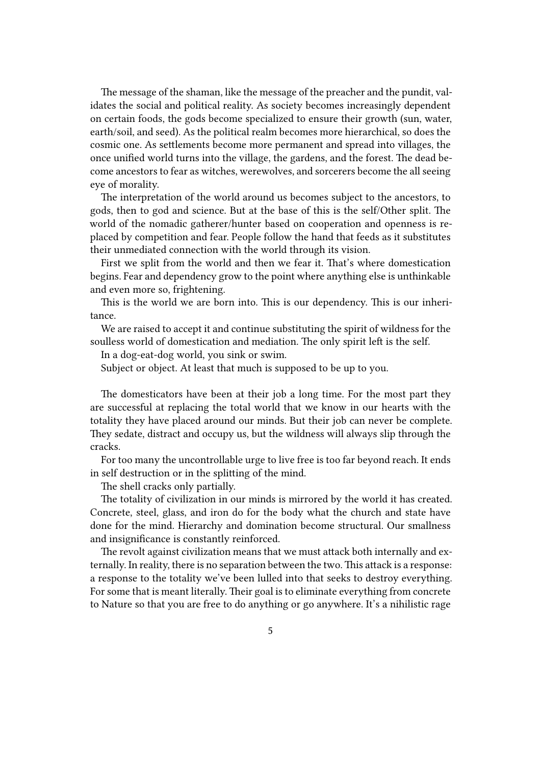The message of the shaman, like the message of the preacher and the pundit, validates the social and political reality. As society becomes increasingly dependent on certain foods, the gods become specialized to ensure their growth (sun, water, earth/soil, and seed). As the political realm becomes more hierarchical, so does the cosmic one. As settlements become more permanent and spread into villages, the once unified world turns into the village, the gardens, and the forest. The dead become ancestors to fear as witches, werewolves, and sorcerers become the all seeing eye of morality.

The interpretation of the world around us becomes subject to the ancestors, to gods, then to god and science. But at the base of this is the self/Other split. The world of the nomadic gatherer/hunter based on cooperation and openness is replaced by competition and fear. People follow the hand that feeds as it substitutes their unmediated connection with the world through its vision.

First we split from the world and then we fear it. That's where domestication begins. Fear and dependency grow to the point where anything else is unthinkable and even more so, frightening.

This is the world we are born into. This is our dependency. This is our inheritance.

We are raised to accept it and continue substituting the spirit of wildness for the soulless world of domestication and mediation. The only spirit left is the self.

In a dog-eat-dog world, you sink or swim.

Subject or object. At least that much is supposed to be up to you.

The domesticators have been at their job a long time. For the most part they are successful at replacing the total world that we know in our hearts with the totality they have placed around our minds. But their job can never be complete. They sedate, distract and occupy us, but the wildness will always slip through the cracks.

For too many the uncontrollable urge to live free is too far beyond reach. It ends in self destruction or in the splitting of the mind.

The shell cracks only partially.

The totality of civilization in our minds is mirrored by the world it has created. Concrete, steel, glass, and iron do for the body what the church and state have done for the mind. Hierarchy and domination become structural. Our smallness and insignificance is constantly reinforced.

The revolt against civilization means that we must attack both internally and externally. In reality, there is no separation between the two. This attack is a response: a response to the totality we've been lulled into that seeks to destroy everything. For some that is meant literally. Their goal is to eliminate everything from concrete to Nature so that you are free to do anything or go anywhere. It's a nihilistic rage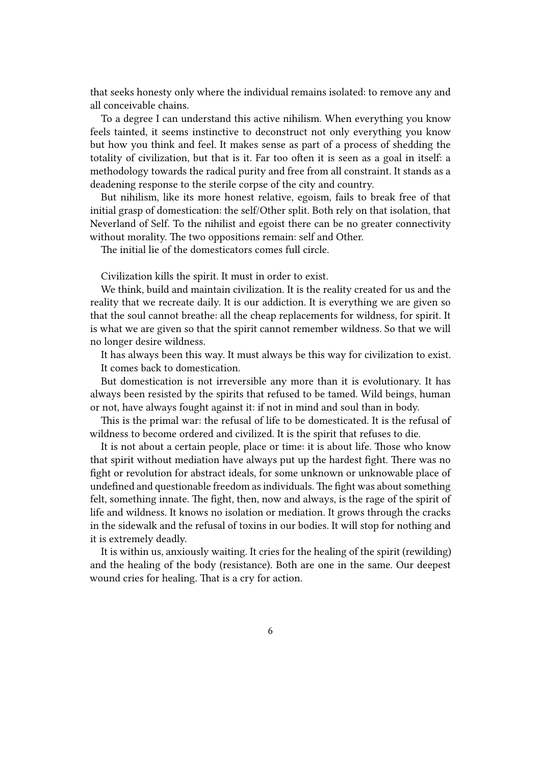that seeks honesty only where the individual remains isolated: to remove any and all conceivable chains.

To a degree I can understand this active nihilism. When everything you know feels tainted, it seems instinctive to deconstruct not only everything you know but how you think and feel. It makes sense as part of a process of shedding the totality of civilization, but that is it. Far too often it is seen as a goal in itself: a methodology towards the radical purity and free from all constraint. It stands as a deadening response to the sterile corpse of the city and country.

But nihilism, like its more honest relative, egoism, fails to break free of that initial grasp of domestication: the self/Other split. Both rely on that isolation, that Neverland of Self. To the nihilist and egoist there can be no greater connectivity without morality. The two oppositions remain: self and Other.

The initial lie of the domesticators comes full circle.

Civilization kills the spirit. It must in order to exist.

We think, build and maintain civilization. It is the reality created for us and the reality that we recreate daily. It is our addiction. It is everything we are given so that the soul cannot breathe: all the cheap replacements for wildness, for spirit. It is what we are given so that the spirit cannot remember wildness. So that we will no longer desire wildness.

It has always been this way. It must always be this way for civilization to exist. It comes back to domestication.

But domestication is not irreversible any more than it is evolutionary. It has always been resisted by the spirits that refused to be tamed. Wild beings, human or not, have always fought against it: if not in mind and soul than in body.

This is the primal war: the refusal of life to be domesticated. It is the refusal of wildness to become ordered and civilized. It is the spirit that refuses to die.

It is not about a certain people, place or time: it is about life. Those who know that spirit without mediation have always put up the hardest fight. There was no fight or revolution for abstract ideals, for some unknown or unknowable place of undefined and questionable freedom as individuals. The fight was about something felt, something innate. The fight, then, now and always, is the rage of the spirit of life and wildness. It knows no isolation or mediation. It grows through the cracks in the sidewalk and the refusal of toxins in our bodies. It will stop for nothing and it is extremely deadly.

It is within us, anxiously waiting. It cries for the healing of the spirit (rewilding) and the healing of the body (resistance). Both are one in the same. Our deepest wound cries for healing. That is a cry for action.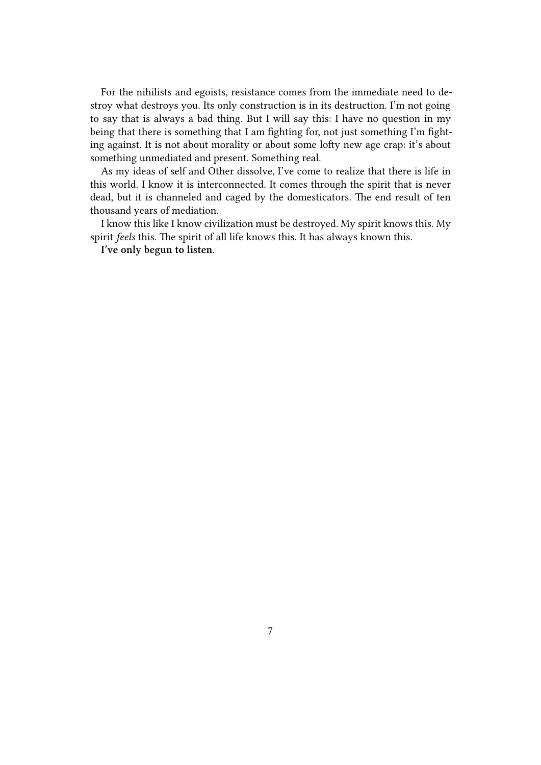For the nihilists and egoists, resistance comes from the immediate need to destroy what destroys you. Its only construction is in its destruction. I'm not going to say that is always a bad thing. But I will say this: I have no question in my being that there is something that I am fighting for, not just something I'm fighting against. It is not about morality or about some lofty new age crap: it's about something unmediated and present. Something real.

As my ideas of self and Other dissolve, I've come to realize that there is life in this world. I know it is interconnected. It comes through the spirit that is never dead, but it is channeled and caged by the domesticators. The end result of ten thousand years of mediation.

I know this like I know civilization must be destroyed. My spirit knows this. My spirit *feels* this. The spirit of all life knows this. It has always known this.

**I've only begun to listen.**